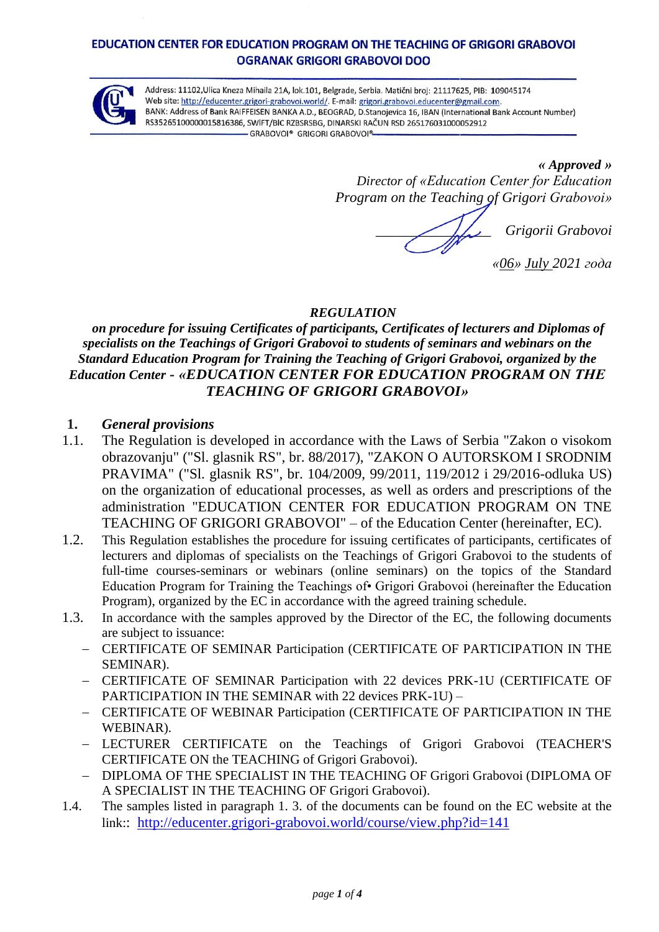#### EDUCATION CENTER FOR EDUCATION PROGRAM ON THE TEACHING OF GRIGORI GRABOVOL OGRANAK GRIGORI GRABOVOI DOO



Address: 11102, Ulica Kneza Mihaila 21A, lok. 101, Belgrade, Serbia. Matični broj: 21117625, PIB: 109045174 Web site: http://educenter.grigori-grabovoi.world/. E-mail: grigori.grabovoi.educenter@gmail.com. BANK: Address of Bank RAIFFEISEN BANKA A.D., BEOGRAD, D.Stanojevica 16, IBAN (International Bank Account Number) RS35265100000015816386, SWIFT/BIC RZBSRSBG, DINARSKI RAČUN RSD 265176031000052912 - GRABOVOI® GRIGORI GRABOVOI®

> *« Approved » Director of «Education Center for Education Program on the Teaching of Grigori Grabovoi»*

*\_\_\_\_\_\_\_\_\_\_\_\_\_\_\_\_ Grigorii Grabovoi*

*«06» July 2021 года*

### *REGULATION*

# *on procedure for issuing Certificates of participants, Certificates of lecturers and Diplomas of specialists on the Teachings of Grigori Grabovoi to students of seminars and webinars on the Standard Education Program for Training the Teaching of Grigori Grabovoi, organized by the Education Center - «EDUCATION CENTER FOR EDUCATION PROGRAM ON ТНЕ TEACHING OF GRIGORI GRABOVOI»*

### **1.** *General provisions*

- 1.1. The Regulation is developed in accordance with the Laws of Serbia "Zakon o visokom obrazovanju" ("Sl. glasnik RS", br. 88/2017), "ZAKON O AUTORSKOM I SRODNIM PRAVIMA" ("Sl. glasnik RS", br. 104/2009, 99/2011, 119/2012 i 29/2016-odluka US) on the organization of educational processes, as well as orders and prescriptions of the administration "EDUCATION CENTER FOR EDUCATION PROGRAM ON TNE TEACHING OF GRIGORI GRABOVOI" – of the Education Center (hereinafter, EC)*.*
- 1.2. This Regulation establishes the procedure for issuing certificates of participants, certificates of lecturers and diplomas of specialists on the Teachings of Grigori Grabovoi to the students of full-time courses-seminars or webinars (online seminars) on the topics of the Standard Education Program for Training the Teachings of• Grigori Grabovoi (hereinafter the Education Program), organized by the EC in accordance with the agreed training schedule.
- 1.3. In accordance with the samples approved by the Director of the EC, the following documents are subject to issuance:
	- CERTIFICATE OF SEMINAR Participation (CERTIFICATE OF PARTICIPATION IN THE SEMINAR).
	- CERTIFICATE OF SEMINAR Participation with 22 devices PRK-1U (CERTIFICATE OF PARTICIPATION IN THE SEMINAR with 22 devices PRK-1U) –
	- CERTIFICATE OF WEBINAR Participation (CERTIFICATE OF PARTICIPATION IN THE WEBINAR).
	- LECTURER CERTIFICATE on the Teachings of Grigori Grabovoi (TEACHER'S CERTIFICATE ON the TEACHING of Grigori Grabovoi).
	- DIPLOMA OF THE SPECIALIST IN THE TEACHING OF Grigori Grabovoi (DIPLOMA OF A SPECIALIST IN THE TEACHING OF Grigori Grabovoi).
- 1.4. The samples listed in paragraph 1. 3. of the documents can be found on the EC website at the link:: <http://educenter.grigori-grabovoi.world/course/view.php?id=141>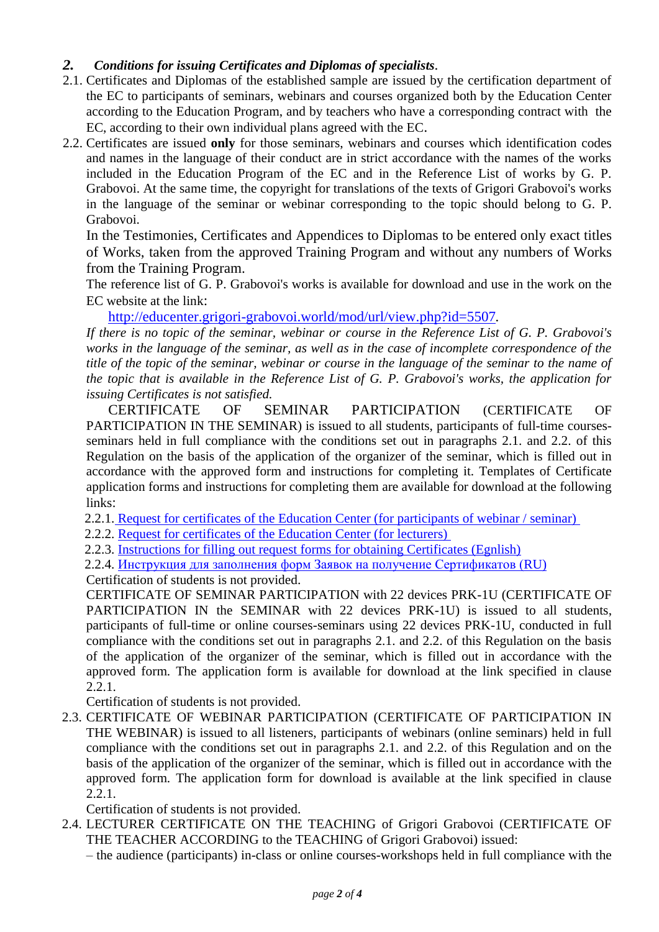# *2. Conditions for issuing Certificates and Diplomas of specialists.*

- 2.1. Certificates and Diplomas of the established sample are issued by the certification department of the EC to participants of seminars, webinars and courses organized both by the Education Center according to the Education Program, and by teachers who have a corresponding contract with the EC, according to their own individual plans agreed with the EC.
- 2.2. Certificates are issued **only** for those seminars, webinars and courses which identification codes and names in the language of their conduct are in strict accordance with the names of the works included in the Education Program of the EC and in the Reference List of works by G. P. Grabovoi. At the same time, the copyright for translations of the texts of Grigori Grabovoi's works in the language of the seminar or webinar corresponding to the topic should belong to G. P. Grabovoi.

In the Testimonies, Certificates and Appendices to Diplomas to be entered only exact titles of Works, taken from the approved Training Program and without any numbers of Works from the Training Program.

The reference list of G. P. Grabovoi's works is available for download and use in the work on the EC website at the link:

<http://educenter.grigori-grabovoi.world/mod/url/view.php?id=5507>*.*

*If there is no topic of the seminar, webinar or course in the Reference List of G. P. Grabovoi's works in the language of the seminar, as well as in the case of incomplete correspondence of the title of the topic of the seminar, webinar or course in the language of the seminar to the name of the topic that is available in the Reference List of G. P. Grabovoi's works, the application for issuing Certificates is not satisfied.*

CERTIFICATE OF SEMINAR PARTICIPATION (CERTIFICATE OF PARTICIPATION IN THE SEMINAR) is issued to all students, participants of full-time coursesseminars held in full compliance with the conditions set out in paragraphs 2.1. and 2.2. of this Regulation on the basis of the application of the organizer of the seminar, which is filled out in accordance with the approved form and instructions for completing it. Templates of Certificate application forms and instructions for completing them are available for download at the following links:

2.2.1. [Request for certificates of the Education Center \(for participants of webinar / seminar\)](http://educenter.grigori-grabovoi.world/mod/url/view.php?id=5508)

2.2.2. [Request for certificates of the Education Center \(for lecturers\)](http://educenter.grigori-grabovoi.world/mod/url/view.php?id=5509)

2.2.3. [Instructions for filling out request forms for obtaining Certificates \(Egnlish\)](http://educenter.grigori-grabovoi.world/mod/resource/view.php?id=5537)

2.2.4. Инструкция [для заполнения форм Заявок на получение Сертификатов \(RU\)](http://educenter.grigori-grabovoi.world/mod/resource/view.php?id=5538) Certification of students is not provided.

CERTIFICATE OF SEMINAR PARTICIPATION with 22 devices PRK-1U (CERTIFICATE OF PARTICIPATION IN the SEMINAR with 22 devices PRK-1U) is issued to all students, participants of full-time or online courses-seminars using 22 devices PRK-1U, conducted in full compliance with the conditions set out in paragraphs 2.1. and 2.2. of this Regulation on the basis of the application of the organizer of the seminar, which is filled out in accordance with the approved form. The application form is available for download at the link specified in clause 2.2.1.

Certification of students is not provided.

2.3. CERTIFICATE OF WEBINAR PARTICIPATION (CERTIFICATE OF PARTICIPATION IN THE WEBINAR) is issued to all listeners, participants of webinars (online seminars) held in full compliance with the conditions set out in paragraphs 2.1. and 2.2. of this Regulation and on the basis of the application of the organizer of the seminar, which is filled out in accordance with the approved form. The application form for download is available at the link specified in clause 2.2.1.

Certification of students is not provided.

2.4. LECTURER CERTIFICATE ON THE TEACHING of Grigori Grabovoi (CERTIFICATE OF THE TEACHER ACCORDING to the TEACHING of Grigori Grabovoi) issued:

– the audience (participants) in-class or online courses-workshops held in full compliance with the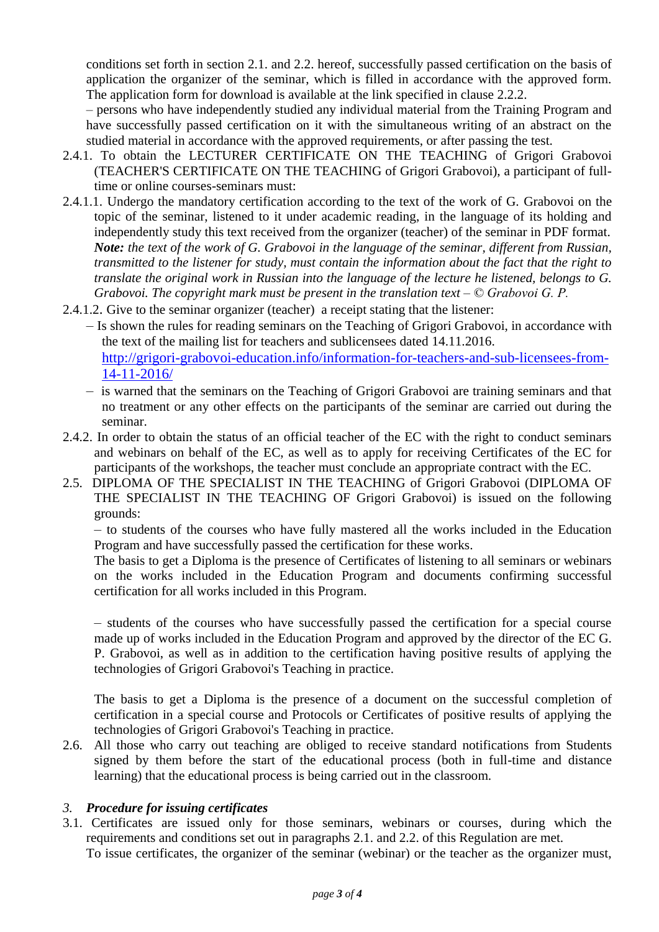conditions set forth in section 2.1. and 2.2. hereof, successfully passed certification on the basis of application the organizer of the seminar, which is filled in accordance with the approved form. The application form for download is available at the link specified in clause 2.2.2.

– persons who have independently studied any individual material from the Training Program and have successfully passed certification on it with the simultaneous writing of an abstract on the studied material in accordance with the approved requirements, or after passing the test.

- 2.4.1. To obtain the LECTURER CERTIFICATE ON THE TEACHING of Grigori Grabovoi (TEACHER'S CERTIFICATE ON THE TEACHING of Grigori Grabovoi), a participant of fulltime or online courses-seminars must:
- 2.4.1.1. Undergo the mandatory certification according to the text of the work of G. Grabovoi on the topic of the seminar, listened to it under academic reading, in the language of its holding and independently study this text received from the organizer (teacher) of the seminar in PDF format. *Note: the text of the work of G. Grabovoi in the language of the seminar, different from Russian, transmitted to the listener for study, must contain the information about the fact that the right to translate the original work in Russian into the language of the lecture he listened, belongs to G. Grabovoi. The copyright mark must be present in the translation text – © Grabovoi G. P.*
- 2.4.1.2. Give to the seminar organizer (teacher) a receipt stating that the listener:
	- Is shown the rules for reading seminars on the Teaching of Grigori Grabovoi, in accordance with the text of the mailing list for teachers and sublicensees dated 14.11.2016. [http://grigori-grabovoi-education.info/information-for-teachers-and-sub-licensees-from-](http://grigori-grabovoi-education.info/information-for-teachers-and-sub-licensees-from-14-11-2016/)[14-11-2016/](http://grigori-grabovoi-education.info/information-for-teachers-and-sub-licensees-from-14-11-2016/)
	- is warned that the seminars on the Teaching of Grigori Grabovoi are training seminars and that no treatment or any other effects on the participants of the seminar are carried out during the seminar.
- 2.4.2. In order to obtain the status of an official teacher of the EC with the right to conduct seminars and webinars on behalf of the EC, as well as to apply for receiving Certificates of the EC for participants of the workshops, the teacher must conclude an appropriate contract with the EC.
- 2.5. DIPLOMA OF THE SPECIALIST IN THE TEACHING of Grigori Grabovoi (DIPLOMA OF THE SPECIALIST IN THE TEACHING OF Grigori Grabovoi) is issued on the following grounds:

– to students of the courses who have fully mastered all the works included in the Education Program and have successfully passed the certification for these works.

The basis to get a Diploma is the presence of Certificates of listening to all seminars or webinars on the works included in the Education Program and documents confirming successful certification for all works included in this Program.

– students of the courses who have successfully passed the certification for a special course made up of works included in the Education Program and approved by the director of the EC G. P. Grabovoi, as well as in addition to the certification having positive results of applying the technologies of Grigori Grabovoi's Teaching in practice.

The basis to get a Diploma is the presence of a document on the successful completion of certification in a special course and Protocols or Certificates of positive results of applying the technologies of Grigori Grabovoi's Teaching in practice.

2.6. All those who carry out teaching are obliged to receive standard notifications from Students signed by them before the start of the educational process (both in full-time and distance learning) that the educational process is being carried out in the classroom.

### *3. Procedure for issuing certificates*

3.1. Certificates are issued only for those seminars, webinars or courses, during which the requirements and conditions set out in paragraphs 2.1. and 2.2. of this Regulation are met.

To issue certificates, the organizer of the seminar (webinar) or the teacher as the organizer must,